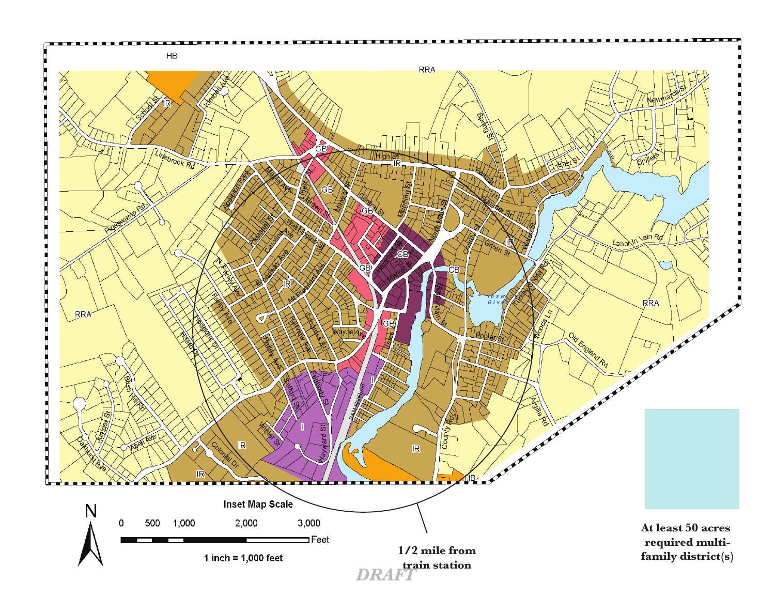